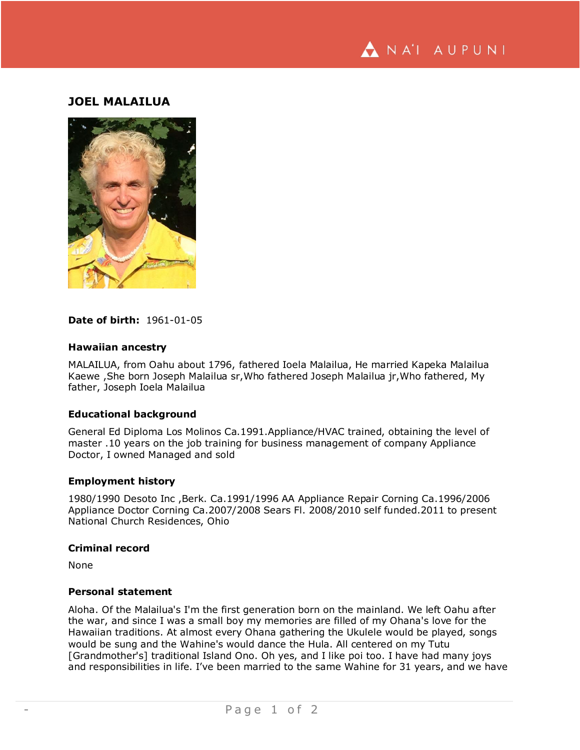

# **JOEL MALAILUA**



### **Date of birth:** 1961-01-05

### **Hawaiian ancestry**

MALAILUA, from Oahu about 1796, fathered Ioela Malailua, He married Kapeka Malailua Kaewe ,She born Joseph Malailua sr,Who fathered Joseph Malailua jr,Who fathered, My father, Joseph Ioela Malailua

## **Educational background**

General Ed Diploma Los Molinos Ca.1991.Appliance/HVAC trained, obtaining the level of master .10 years on the job training for business management of company Appliance Doctor, I owned Managed and sold

#### **Employment history**

1980/1990 Desoto Inc ,Berk. Ca.1991/1996 AA Appliance Repair Corning Ca.1996/2006 Appliance Doctor Corning Ca.2007/2008 Sears Fl. 2008/2010 self funded.2011 to present National Church Residences, Ohio

### **Criminal record**

None

### **Personal statement**

Aloha. Of the Malailua's I'm the first generation born on the mainland. We left Oahu after the war, and since I was a small boy my memories are filled of my Ohana's love for the Hawaiian traditions. At almost every Ohana gathering the Ukulele would be played, songs would be sung and the Wahine's would dance the Hula. All centered on my Tutu [Grandmother's] traditional Island Ono. Oh yes, and I like poi too. I have had many joys and responsibilities in life. I've been married to the same Wahine for 31 years, and we have